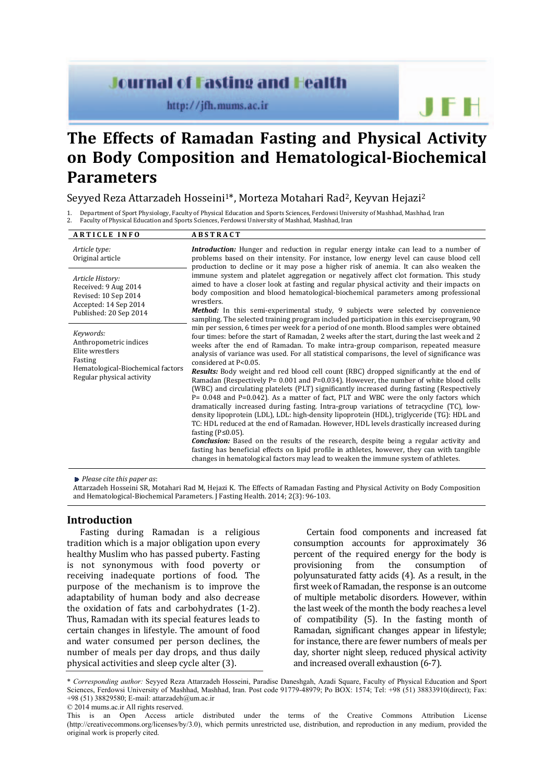# **Journal of Fasting and Health**

http://jfh.mums.ac.ir

# **The Effects of Ramadan Fasting and Physical Activity on Body Composition and Hematological-Biochemical Parameters**

# Seyyed Reza Attarzadeh Hosseini1\*, Morteza Motahari Rad2, Keyvan Hejazi2

1. Department of Sport Physiology, Faculty of Physical Education and Sports Sciences, Ferdowsi University of Mashhad, Mashhad, Iran

2. Faculty of Physical Education and Sports Sciences, Ferdowsi University of Mashhad, Mashhad, Iran

| <b>ARTICLE INFO</b>                                                                                                                 | <b>ABSTRACT</b>                                                                                                                                                                                                                                                                                                                                                                                                                                                                                                                                                                                                                                                                                                                                                                                        |  |  |  |
|-------------------------------------------------------------------------------------------------------------------------------------|--------------------------------------------------------------------------------------------------------------------------------------------------------------------------------------------------------------------------------------------------------------------------------------------------------------------------------------------------------------------------------------------------------------------------------------------------------------------------------------------------------------------------------------------------------------------------------------------------------------------------------------------------------------------------------------------------------------------------------------------------------------------------------------------------------|--|--|--|
| Article type:<br>Original article                                                                                                   | <b>Introduction:</b> Hunger and reduction in regular energy intake can lead to a number of<br>problems based on their intensity. For instance, low energy level can cause blood cell<br>production to decline or it may pose a higher risk of anemia. It can also weaken the                                                                                                                                                                                                                                                                                                                                                                                                                                                                                                                           |  |  |  |
| Article History:<br>Received: 9 Aug 2014<br>Revised: 10 Sep 2014<br>Accepted: 14 Sep 2014<br>Published: 20 Sep 2014                 | immune system and platelet aggregation or negatively affect clot formation. This study<br>aimed to have a closer look at fasting and regular physical activity and their impacts on<br>body composition and blood hematological-biochemical parameters among professional<br>wrestlers.                                                                                                                                                                                                                                                                                                                                                                                                                                                                                                                |  |  |  |
|                                                                                                                                     | <b>Method:</b> In this semi-experimental study, 9 subjects were selected by convenience<br>sampling. The selected training program included participation in this exerciseprogram, 90                                                                                                                                                                                                                                                                                                                                                                                                                                                                                                                                                                                                                  |  |  |  |
| Keywords:<br>Anthropometric indices<br>Elite wrestlers<br>Fasting<br>Hematological-Biochemical factors<br>Regular physical activity | min per session, 6 times per week for a period of one month. Blood samples were obtained<br>four times: before the start of Ramadan, 2 weeks after the start, during the last week and 2<br>weeks after the end of Ramadan. To make intra-group comparison, repeated measure<br>analysis of variance was used. For all statistical comparisons, the level of significance was<br>considered at P<0.05.                                                                                                                                                                                                                                                                                                                                                                                                 |  |  |  |
|                                                                                                                                     | <b>Results:</b> Body weight and red blood cell count (RBC) dropped significantly at the end of<br>Ramadan (Respectively $P = 0.001$ and $P = 0.034$ ). However, the number of white blood cells<br>(WBC) and circulating platelets (PLT) significantly increased during fasting (Respectively<br>P= 0.048 and P=0.042). As a matter of fact, PLT and WBC were the only factors which<br>dramatically increased during fasting. Intra-group variations of tetracycline (TC), low-<br>density lipoprotein (LDL), LDL: high-density lipoprotein (HDL), triglyceride (TG): HDL and<br>TC: HDL reduced at the end of Ramadan. However, HDL levels drastically increased during<br>fasting $(P \le 0.05)$ .<br><b>Conclusion:</b> Based on the results of the research, despite being a regular activity and |  |  |  |
|                                                                                                                                     | fasting has beneficial effects on lipid profile in athletes, however, they can with tangible<br>changes in hematological factors may lead to weaken the immune system of athletes.                                                                                                                                                                                                                                                                                                                                                                                                                                                                                                                                                                                                                     |  |  |  |

*Please cite this paper as*:

Attarzadeh Hosseini SR, Motahari Rad M, Hejazi K. The Effects of Ramadan Fasting and Physical Activity on Body Composition and Hematological-Biochemical Parameters. J Fasting Health. 2014; 2(3): 96-103.

# **Introduction**

Fasting during Ramadan is a religious tradition which is a major obligation upon every healthy Muslim who has passed puberty. Fasting is not synonymous with food poverty or receiving inadequate portions of food. The purpose of the mechanism is to improve the adaptability of human body and also decrease the oxidation of fats and carbohydrates (1-2). Thus, Ramadan with its special features leads to certain changes in lifestyle. The amount of food and water consumed per person declines, the number of meals per day drops, and thus daily physical activities and sleep cycle alter (3).

Certain food components and increased fat consumption accounts for approximately 36 percent of the required energy for the body is provisioning from the consumption of polyunsaturated fatty acids (4). As a result, in the first week of Ramadan, the response is an outcome of multiple metabolic disorders. However, within the last week of the month the body reaches a level of compatibility (5). In the fasting month of Ramadan, significant changes appear in lifestyle; for instance, there are fewer numbers of meals per day, shorter night sleep, reduced physical activity and increased overall exhaustion (6-7).

JFH

© 2014 mums.ac.ir All rights reserved.

<sup>\*</sup> *Corresponding author:* Seyyed Reza Attarzadeh Hosseini, Paradise Daneshgah, Azadi Square, Faculty of Physical Education and Sport Sciences, Ferdowsi University of Mashhad, Mashhad, Iran. Post code 91779-48979; Po BOX: 1574; Tel: +98 (51) 38833910(direct); Fax: +98 (51) 38829580; E-mail: attarzadeh@um.ac.ir

This is an Open Access article distributed under the terms of the Creative Commons Attribution License (http://creativecommons.org/licenses/by/3.0), which permits unrestricted use, distribution, and reproduction in any medium, provided the original work is properly cited.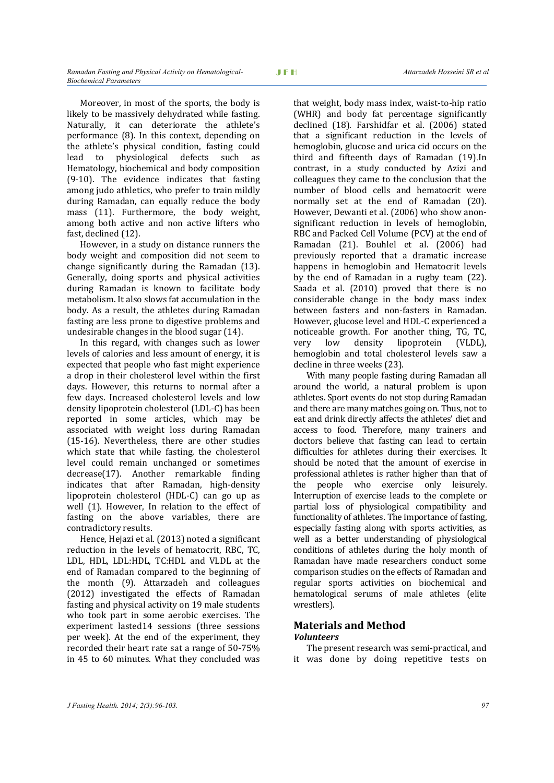Moreover, in most of the sports, the body is likely to be massively dehydrated while fasting. Naturally, it can deteriorate the athlete's performance (8). In this context, depending on the athlete's physical condition, fasting could lead to physiological defects such as Hematology, biochemical and body composition (9-10). The evidence indicates that fasting among judo athletics, who prefer to train mildly during Ramadan, can equally reduce the body mass (11). Furthermore, the body weight, among both active and non active lifters who fast, declined (12).

However, in a study on distance runners the body weight and composition did not seem to change significantly during the Ramadan (13). Generally, doing sports and physical activities during Ramadan is known to facilitate body metabolism. It also slows fat accumulation in the body. As a result, the athletes during Ramadan fasting are less prone to digestive problems and undesirable changes in the blood sugar (14).

In this regard, with changes such as lower levels of calories and less amount of energy, it is expected that people who fast might experience a drop in their cholesterol level within the first days. However, this returns to normal after a few days. Increased cholesterol levels and low density lipoprotein cholesterol (LDL-C) has been reported in some articles, which may be associated with weight loss during Ramadan (15-16). Nevertheless, there are other studies which state that while fasting, the cholesterol level could remain unchanged or sometimes decrease(17). Another remarkable finding indicates that after Ramadan, high-density lipoprotein cholesterol (HDL-C) can go up as well (1). However, In relation to the effect of fasting on the above variables, there are contradictory results.

Hence, Hejazi et al. (2013) noted a significant reduction in the levels of hematocrit, RBC, TC, LDL, HDL, LDL:HDL, TC:HDL and VLDL at the end of Ramadan compared to the beginning of the month (9). Attarzadeh and colleagues (2012) investigated the effects of Ramadan fasting and physical activity on 19 male students who took part in some aerobic exercises. The experiment lasted14 sessions (three sessions per week). At the end of the experiment, they recorded their heart rate sat a range of 50-75% in 45 to 60 minutes. What they concluded was

that weight, body mass index, waist-to-hip ratio (WHR) and body fat percentage significantly declined (18). Farshidfar et al. (2006) stated that a significant reduction in the levels of hemoglobin, glucose and urica cid occurs on the third and fifteenth days of Ramadan (19).In contrast, in a study conducted by Azizi and colleagues they came to the conclusion that the number of blood cells and hematocrit were normally set at the end of Ramadan (20). However, Dewanti et al. (2006) who show anonsignificant reduction in levels of hemoglobin, RBC and Packed Cell Volume (PCV) at the end of Ramadan (21). Bouhlel et al. (2006) had previously reported that a dramatic increase happens in hemoglobin and Hematocrit levels by the end of Ramadan in a rugby team (22). Saada et al. (2010) proved that there is no considerable change in the body mass index between fasters and non-fasters in Ramadan. However, glucose level and HDL-C experienced a noticeable growth. For another thing, TG, TC, very low density lipoprotein (VLDL), hemoglobin and total cholesterol levels saw a decline in three weeks (23).

With many people fasting during Ramadan all around the world, a natural problem is upon athletes. Sport events do not stop during Ramadan and there are many matches going on. Thus, not to eat and drink directly affects the athletes' diet and access to food. Therefore, many trainers and doctors believe that fasting can lead to certain difficulties for athletes during their exercises. It should be noted that the amount of exercise in professional athletes is rather higher than that of the people who exercise only leisurely. Interruption of exercise leads to the complete or partial loss of physiological compatibility and functionality of athletes. The importance of fasting, especially fasting along with sports activities, as well as a better understanding of physiological conditions of athletes during the holy month of Ramadan have made researchers conduct some comparison studies on the effects of Ramadan and regular sports activities on biochemical and hematological serums of male athletes (elite wrestlers).

### **Materials and Method**  *Volunteers*

The present research was semi-practical, and it was done by doing repetitive tests on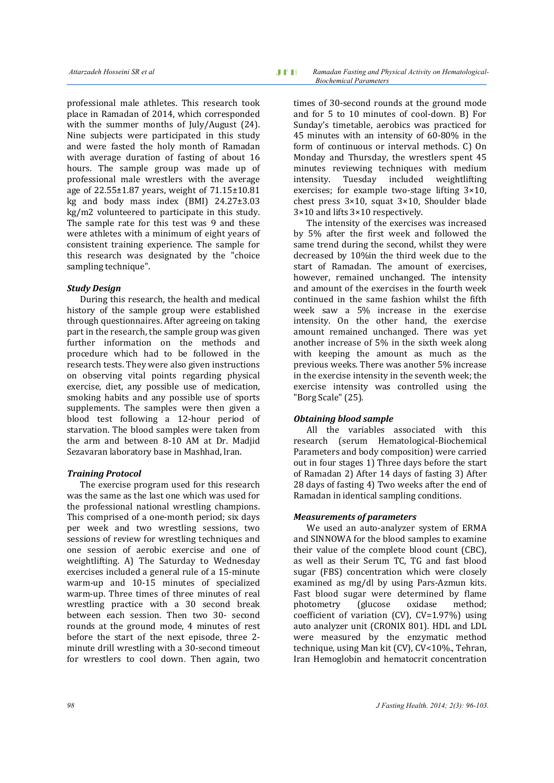professional male athletes. This research took place in Ramadan of 2014, which corresponded with the summer months of July/August (24). Nine subjects were participated in this study and were fasted the holy month of Ramadan with average duration of fasting of about 16 hours. The sample group was made up of professional male wrestlers with the average age of 22.55±1.87 years, weight of 71.15±10.81 kg and body mass index (BMI) 24.27±3.03 kg/m2 volunteered to participate in this study. The sample rate for this test was 9 and these were athletes with a minimum of eight years of consistent training experience. The sample for this research was designated by the "choice sampling technique".

# *Study Design*

During this research, the health and medical history of the sample group were established through questionnaires. After agreeing on taking part in the research, the sample group was given further information on the methods and procedure which had to be followed in the research tests. They were also given instructions on observing vital points regarding physical exercise, diet, any possible use of medication, smoking habits and any possible use of sports supplements. The samples were then given a blood test following a 12-hour period of starvation. The blood samples were taken from the arm and between 8-10 AM at Dr. Madjid Sezavaran laboratory base in Mashhad, lran.

# *Training Protocol*

The exercise program used for this research was the same as the last one which was used for the professional national wrestling champions. This comprised of a one-month period; six days per week and two wrestling sessions, two sessions of review for wrestling techniques and one session of aerobic exercise and one of weightlifting. A) The Saturday to Wednesday exercises included a general rule of a 15-minute warm-up and 10-15 minutes of specialized warm-up. Three times of three minutes of real wrestling practice with a 30 second break between each session. Then two 30- second rounds at the ground mode, 4 minutes of rest before the start of the next episode, three 2 minute drill wrestling with a 30-second timeout for wrestlers to cool down. Then again, two

times of 30-second rounds at the ground mode and for 5 to 10 minutes of cool-down. B) For Sunday's timetable, aerobics was practiced for 45 minutes with an intensity of 60-80% in the form of continuous or interval methods. C) On Monday and Thursday, the wrestlers spent 45 minutes reviewing techniques with medium intensity. Tuesday included weightlifting exercises; for example two-stage lifting 3×10, chest press  $3\times10$ , squat  $3\times10$ . Shoulder blade 3×10 and lifts 3×10 respectively.

The intensity of the exercises was increased by 5% after the first week and followed the same trend during the second, whilst they were decreased by 10%in the third week due to the start of Ramadan. The amount of exercises, however, remained unchanged. The intensity and amount of the exercises in the fourth week continued in the same fashion whilst the fifth week saw a 5% increase in the exercise intensity. On the other hand, the exercise amount remained unchanged. There was yet another increase of 5% in the sixth week along with keeping the amount as much as the previous weeks. There was another 5% increase in the exercise intensity in the seventh week; the exercise intensity was controlled using the "Borg Scale" (25).

# *Obtaining blood sample*

All the variables associated with this research (serum Hematological-Biochemical Parameters and body composition) were carried out in four stages 1) Three days before the start of Ramadan 2) After 14 days of fasting 3) After 28 days of fasting 4) Two weeks after the end of Ramadan in identical sampling conditions.

#### *Measurements of parameters*

We used an auto-analyzer system of ERMA and SINNOWA for the blood samples to examine their value of the complete blood count (CBC), as well as their Serum TC, TG and fast blood sugar (FBS) concentration which were closely examined as mg/dl by using Pars-Azmun kits. Fast blood sugar were determined by flame photometry (glucose oxidase method; coefficient of variation (CV), CV=1.97%) using auto analyzer unit (CRONIX 801). HDL and LDL were measured by the enzymatic method technique, using Man kit (CV), CV<10%., Tehran, Iran Hemoglobin and hematocrit concentration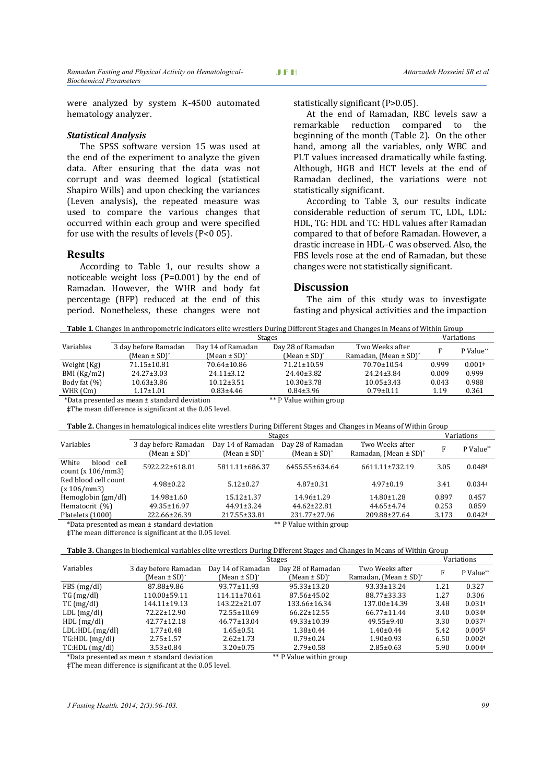were analyzed by system K-4500 automated hematology analyzer.

#### *Statistical Analysis*

The SPSS software version 15 was used at the end of the experiment to analyze the given data. After ensuring that the data was not corrupt and was deemed logical (statistical Shapiro Wills) and upon checking the variances (Leven analysis), the repeated measure was used to compare the various changes that occurred within each group and were specified for use with the results of levels (P<0 05).

#### **Results**

According to Table 1, our results show a noticeable weight loss (P=0.001) by the end of Ramadan. However, the WHR and body fat percentage (BFP) reduced at the end of this period. Nonetheless, these changes were not statistically significant (P>0.05).

At the end of Ramadan, RBC levels saw a remarkable reduction compared to the beginning of the month (Table 2). On the other hand, among all the variables, only WBC and PLT values increased dramatically while fasting. Although, HGB and HCT levels at the end of Ramadan declined, the variations were not statistically significant.

According to Table 3, our results indicate considerable reduction of serum TC, LDL, LDL: HDL, TG: HDL and TC: HDL values after Ramadan compared to that of before Ramadan. However, a drastic increase in HDL–C was observed. Also, the FBS levels rose at the end of Ramadan, but these changes were not statistically significant.

#### **Discussion**

The aim of this study was to investigate fasting and physical activities and the impaction

**Table 1**. Changes in anthropometric indicators elite wrestlers During Different Stages and Changes in Means of Within Group

|                                              | <b>Stages</b>        |                         |                   | Variations                            |       |           |
|----------------------------------------------|----------------------|-------------------------|-------------------|---------------------------------------|-------|-----------|
| Variables                                    | 3 day before Ramadan | Day 14 of Ramadan       | Day 28 of Ramadan | Two Weeks after                       | F     | P Value** |
|                                              | $(Mean \pm SD)^*$    | $(Mean \pm SD)^*$       | $(Mean \pm SD)^*$ | Ramadan, (Mean $\pm$ SD) <sup>*</sup> |       |           |
| Weight (Kg)                                  | 71.15±10.81          | 70.64±10.86             | $71.21 \pm 10.59$ | 70.70±10.54                           | 0.999 | $0.001*$  |
| BMI (Kg/m2)                                  | $24.27 \pm 3.03$     | $24.11 \pm 3.12$        | $24.40 \pm 3.82$  | $24.24 \pm 3.84$                      | 0.009 | 0.999     |
| Body fat (%)                                 | $10.63 \pm 3.86$     | $10.12 \pm 3.51$        | $10.30 \pm 3.78$  | $10.05 \pm 3.43$                      | 0.043 | 0.988     |
| WHR (Cm)                                     | $1.17 \pm 1.01$      | $0.83{\pm}4.46$         | $0.84 \pm 3.96$   | $0.79 \pm 0.11$                       | 1.19  | 0.361     |
| *Data presented as mean ± standard deviation |                      | ** P Value within group |                   |                                       |       |           |

‡The mean difference is significant at the 0.05 level.

**Table 2.** Changes in hematological indices elite wrestlers During Different Stages and Changes in Means of Within Group

|                                              | Stages                                               |                                        |                                        |                                                          | Variations |           |
|----------------------------------------------|------------------------------------------------------|----------------------------------------|----------------------------------------|----------------------------------------------------------|------------|-----------|
| Variables                                    | 3 day before Ramadan<br>(Mean $\pm$ SD) <sup>*</sup> | Day 14 of Ramadan<br>$(Mean \pm SD)^*$ | Day 28 of Ramadan<br>$(Mean \pm SD)^*$ | Two Weeks after<br>Ramadan, (Mean $\pm$ SD) <sup>*</sup> | F          | P Value** |
| White<br>blood cell<br>count $(x 106/mm3)$   | 5922.22±618.01                                       | 5811.11±686.37                         | 6455.55±634.64                         | 6611.11±732.19                                           | 3.05       | $0.048*$  |
| Red blood cell count<br>(x 106/mm3)          | $4.98 \pm 0.22$                                      | $5.12 \pm 0.27$                        | $4.87 \pm 0.31$                        | $4.97 \pm 0.19$                                          | 3.41       | $0.034*$  |
| Hemoglobin (gm/dl)                           | $14.98 \pm 1.60$                                     | $15.12 \pm 1.37$                       | $14.96 \pm 1.29$                       | $14.80 \pm 1.28$                                         | 0.897      | 0.457     |
| Hematocrit (%)                               | $49.35 \pm 16.97$                                    | $44.91 \pm 3.24$                       | $44.62 \pm 22.81$                      | $44.65 \pm 4.74$                                         | 0.253      | 0.859     |
| Platelets (1000)                             | 222.66±26.39                                         | 217.55±33.81                           | $231.77 \pm 27.96$                     | 209.88±27.64                                             | 3.173      | $0.042*$  |
| *Data presented as mean ± standard deviation |                                                      |                                        | ** P Value within group                |                                                          |            |           |

 $\pm$ The mean difference is significant at the 0.05 level.

| Table 3. Changes in biochemical variables elite wrestlers During Different Stages and Changes in Means of Within Group |
|------------------------------------------------------------------------------------------------------------------------|
|------------------------------------------------------------------------------------------------------------------------|

|                     | <b>Stages</b>        |                    |                   | Variations                            |      |           |
|---------------------|----------------------|--------------------|-------------------|---------------------------------------|------|-----------|
| Variables           | 3 day before Ramadan | Day 14 of Ramadan  | Day 28 of Ramadan | Two Weeks after                       | F    | P Value** |
|                     | (Mean ± SD)*         | (Mean ± SD)*       | (Mean ± SD)*      | Ramadan, (Mean $\pm$ SD) <sup>*</sup> |      |           |
| FBS(mg/dl)          | 87.88±9.86           | $93.77 \pm 11.93$  | 95.33±13.20       | $93.33 \pm 13.24$                     | 1.21 | 0.327     |
| TG (mg/dl)          | 110.00±59.11         | $114.11 \pm 70.61$ | 87.56±45.02       | 88.77±33.33                           | 1.27 | 0.306     |
| $TC \, (mg/dl)$     | 144.11±19.13         | 143.22±21.07       | 133.66±16.34      | 137.00±14.39                          | 3.48 | $0.031*$  |
| $LDL$ (mg/dl)       | 72.22±12.90          | $72.55 \pm 10.69$  | $66.22 \pm 12.55$ | $66.77 \pm 11.44$                     | 3.40 | $0.034*$  |
| HDL(mg/dl)          | $42.77 \pm 12.18$    | $46.77 \pm 13.04$  | 49.33±10.39       | $49.55 \pm 9.40$                      | 3.30 | $0.037*$  |
| $LDL:HDL$ $(mg/dl)$ | $1.77 \pm 0.48$      | $1.65 \pm 0.51$    | $1.38 \pm 0.44$   | $1.40 \pm 0.44$                       | 5.42 | $0.005*$  |
| $TG: HDL$ $(mg/dl)$ | $2.75 \pm 1.57$      | $2.62 \pm 1.73$    | $0.79 \pm 0.24$   | $1.90 \pm 0.93$                       | 6.50 | $0.002*$  |
| $TC:HDL$ (mg/dl)    | $3.53 \pm 0.84$      | $3.20 \pm 0.75$    | $2.79 \pm 0.58$   | $2.85 \pm 0.63$                       | 5.90 | $0.004*$  |

\*Data presented as mean ± standard deviation \*\* P Value within group

‡The mean difference is significant at the 0.05 level.

*J Fasting Health. 2014; 2(3):96-103. 99*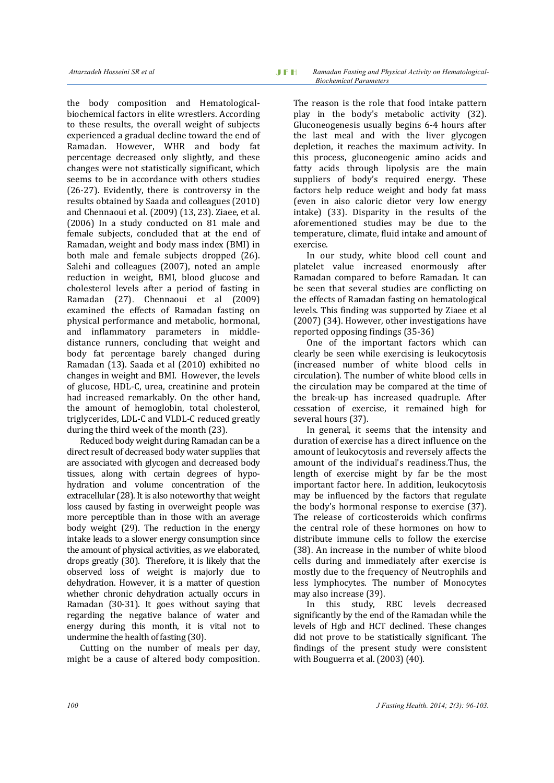the body composition and Hematologicalbiochemical factors in elite wrestlers. According to these results, the overall weight of subjects experienced a gradual decline toward the end of Ramadan. However, WHR and body fat percentage decreased only slightly, and these changes were not statistically significant, which seems to be in accordance with others studies (26-27). Evidently, there is controversy in the results obtained by Saada and colleagues (2010) and Chennaoui et al. (2009) (13, 23). Ziaee, et al. (2006) In a study conducted on 81 male and female subjects, concluded that at the end of Ramadan, weight and body mass index (BMI) in both male and female subjects dropped (26). Salehi and colleagues (2007), noted an ample reduction in weight, BMI, blood glucose and cholesterol levels after a period of fasting in Ramadan (27). Chennaoui et al (2009) examined the effects of Ramadan fasting on physical performance and metabolic, hormonal, and inflammatory parameters in middledistance runners, concluding that weight and body fat percentage barely changed during Ramadan (13). Saada et al (2010) exhibited no changes in weight and BMI. However, the levels of glucose, HDL-C, urea, creatinine and protein had increased remarkably. On the other hand, the amount of hemoglobin, total cholesterol, triglycerides, LDL-C and VLDL-C reduced greatly during the third week of the month (23).

Reduced body weight during Ramadan can be a direct result of decreased body water supplies that are associated with glycogen and decreased body tissues, along with certain degrees of hypohydration and volume concentration of the extracellular (28). It is also noteworthy that weight loss caused by fasting in overweight people was more perceptible than in those with an average body weight (29). The reduction in the energy intake leads to a slower energy consumption since the amount of physical activities, as we elaborated, drops greatly (30). Therefore, it is likely that the observed loss of weight is majorly due to dehydration. However, it is a matter of question whether chronic dehydration actually occurs in Ramadan (30-31). It goes without saying that regarding the negative balance of water and energy during this month, it is vital not to undermine the health of fasting (30).

Cutting on the number of meals per day, might be a cause of altered body composition.

The reason is the role that food intake pattern play in the body's metabolic activity (32). Gluconeogenesis usually begins 6-4 hours after the last meal and with the liver glycogen depletion, it reaches the maximum activity. In this process, gluconeogenic amino acids and fatty acids through lipolysis are the main suppliers of body's required energy. These factors help reduce weight and body fat mass (even in aiso caloric dietor very low energy intake) (33). Disparity in the results of the aforementioned studies may be due to the temperature, climate, fluid intake and amount of exercise.

In our study, white blood cell count and platelet value increased enormously after Ramadan compared to before Ramadan. It can be seen that several studies are conflicting on the effects of Ramadan fasting on hematological levels. This finding was supported by Ziaee et al (2007) (34). However, other investigations have reported opposing findings (35-36)

One of the important factors which can clearly be seen while exercising is leukocytosis (increased number of white blood cells in circulation). The number of white blood cells in the circulation may be compared at the time of the break-up has increased quadruple. After cessation of exercise, it remained high for several hours (37).

In general, it seems that the intensity and duration of exercise has a direct influence on the amount of leukocytosis and reversely affects the amount of the individual's readiness.Thus, the length of exercise might by far be the most important factor here. In addition, leukocytosis may be influenced by the factors that regulate the body's hormonal response to exercise (37). The release of corticosteroids which confirms the central role of these hormones on how to distribute immune cells to follow the exercise (38). An increase in the number of white blood cells during and immediately after exercise is mostly due to the frequency of Neutrophils and less lymphocytes. The number of Monocytes may also increase (39).

In this study, RBC levels decreased significantly by the end of the Ramadan while the levels of Hgb and HCT declined. These changes did not prove to be statistically significant. The findings of the present study were consistent with Bouguerra et al. (2003) (40).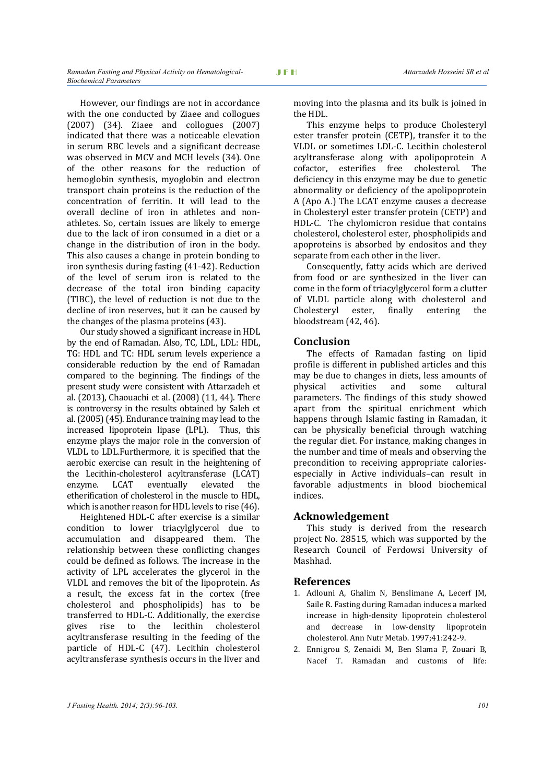However, our findings are not in accordance with the one conducted by Ziaee and collogues (2007) (34). Ziaee and collogues  $(2007)$ indicated that there was a noticeable elevation in serum RBC levels and a significant decrease was observed in MCV and MCH levels (34). One of the other reasons for the reduction of hemoglobin synthesis, myoglobin and electron transport chain proteins is the reduction of the concentration of ferritin. It will lead to the overall decline of iron in athletes and nonathletes. So, certain issues are likely to emerge due to the lack of iron consumed in a diet or a change in the distribution of iron in the body. This also causes a change in protein bonding to iron synthesis during fasting (41-42). Reduction of the level of serum iron is related to the decrease of the total iron binding capacity (TIBC), the level of reduction is not due to the decline of iron reserves, but it can be caused by the changes of the plasma proteins (43).

Our study showed a significant increase in HDL by the end of Ramadan. Also, TC, LDL, LDL: HDL, TG: HDL and TC: HDL serum levels experience a considerable reduction by the end of Ramadan compared to the beginning. The findings of the present study were consistent with Attarzadeh et al. (2013), Chaouachi et al. (2008) (11, 44). There is controversy in the results obtained by Saleh et al. (2005) (45). Endurance training may lead to the increased lipoprotein lipase (LPL). Thus, this enzyme plays the major role in the conversion of VLDL to LDL.Furthermore, it is specified that the aerobic exercise can result in the heightening of the Lecithin-cholesterol acyltransferase (LCAT) enzyme. LCAT eventually elevated the etherification of cholesterol in the muscle to HDL, which is another reason for HDL levels to rise (46).

Heightened HDL-C after exercise is a similar condition to lower triacylglycerol due to accumulation and disappeared them. The relationship between these conflicting changes could be defined as follows. The increase in the activity of LPL accelerates the glycerol in the VLDL and removes the bit of the lipoprotein. As a result, the excess fat in the cortex (free cholesterol and phospholipids) has to be transferred to HDL-C. Additionally, the exercise gives rise to the lecithin cholesterol acyltransferase resulting in the feeding of the particle of HDL-C (47). Lecithin cholesterol acyltransferase synthesis occurs in the liver and

moving into the plasma and its bulk is joined in the HDL.

This enzyme helps to produce Cholesteryl ester transfer protein (CETP), transfer it to the VLDL or sometimes LDL-C. Lecithin cholesterol acyltransferase along with apolipoprotein A cofactor, esterifies free cholesterol. The deficiency in this enzyme may be due to genetic abnormality or deficiency of the apolipoprotein A (Apo A.) The LCAT enzyme causes a decrease in Cholesteryl ester transfer protein (CETP) and HDL-C. The chylomicron residue that contains cholesterol, cholesterol ester, phospholipids and apoproteins is absorbed by endositos and they separate from each other in the liver.

Consequently, fatty acids which are derived from food or are synthesized in the liver can come in the form of triacylglycerol form a clutter of VLDL particle along with cholesterol and Cholesteryl ester, finally entering the bloodstream (42, 46).

# **Conclusion**

The effects of Ramadan fasting on lipid profile is different in published articles and this may be due to changes in diets, less amounts of physical activities and some cultural parameters. The findings of this study showed apart from the spiritual enrichment which happens through Islamic fasting in Ramadan, it can be physically beneficial through watching the regular diet. For instance, making changes in the number and time of meals and observing the precondition to receiving appropriate caloriesespecially in Active individuals–can result in favorable adjustments in blood biochemical indices.

# **Acknowledgement**

This study is derived from the research project No. 28515, which was supported by the Research Council of Ferdowsi University of Mashhad.

#### **References**

- 1. Adlouni A, Ghalim N, Benslimane A, Lecerf JM, Saile R. Fasting during Ramadan induces a marked increase in high-density lipoprotein cholesterol and decrease in low-density lipoprotein cholesterol. Ann Nutr Metab. 1997;41:242-9.
- 2. Ennigrou S, Zenaidi M, Ben Slama F, Zouari B, Nacef T. Ramadan and customs of life: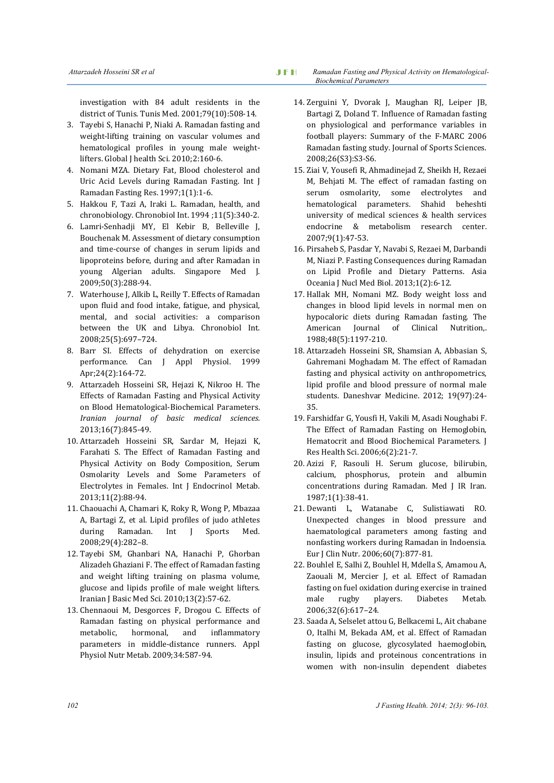investigation with 84 adult residents in the district of Tunis. Tunis Med. 2001;79(10):508-14.

- 3. Tayebi S, Hanachi P, Niaki A. Ramadan fasting and weight-lifting training on vascular volumes and hematological profiles in young male weightlifters. Global J health Sci. 2010;2:160-6.
- 4. Nomani MZA. Dietary Fat, Blood cholesterol and Uric Acid Levels during Ramadan Fasting. Int J Ramadan Fasting Res. 1997;1(1):1-6.
- 5. Hakkou F, Tazi A, Iraki L. Ramadan, health, and chronobiology. Chronobiol Int. 1994 ;11(5):340-2.
- 6. Lamri-Senhadji MY, El Kebir B, Belleville J, Bouchenak M. Assessment of dietary consumption and time-course of changes in serum lipids and lipoproteins before, during and after Ramadan in young Algerian adults. Singapore Med J. 2009;50(3):288-94.
- 7. Waterhouse J, Alkib L, Reilly T. Effects of Ramadan upon fluid and food intake, fatigue, and physical, mental, and social activities: a comparison between the UK and Libya. Chronobiol Int. 2008;25(5):697–724.
- 8. Barr SI. Effects of dehydration on exercise performance. Can J Appl Physiol. 1999 Apr;24(2):164-72.
- 9. Attarzadeh Hosseini SR, Hejazi K, Nikroo H. The Effects of Ramadan Fasting and Physical Activity on Blood Hematological-Biochemical Parameters. *Iranian journal of basic medical sciences.* 2013;16(7):845-49.
- 10. Attarzadeh Hosseini SR, Sardar M, Hejazi K, Farahati S. The Effect of Ramadan Fasting and Physical Activity on Body Composition, Serum Osmolarity Levels and Some Parameters of Electrolytes in Females. Int J Endocrinol Metab. 2013;11(2):88-94.
- 11. Chaouachi A, Chamari K, Roky R, Wong P, Mbazaa A, Bartagi Z, et al. Lipid profiles of judo athletes during Ramadan. Int J Sports Med. 2008;29(4):282–8.
- 12. Tayebi SM, Ghanbari NA, Hanachi P, Ghorban Alizadeh Ghaziani F. The effect of Ramadan fasting and weight lifting training on plasma volume, glucose and lipids profile of male weight lifters. Iranian J Basic Med Sci. 2010;13(2):57-62.
- 13. Chennaoui M, Desgorces F, Drogou C. Effects of Ramadan fasting on physical performance and metabolic, hormonal, and inflammatory parameters in middle-distance runners. Appl Physiol Nutr Metab. 2009;34:587-94.
- 14. Zerguini Y, Dvorak J, Maughan RJ, Leiper JB, Bartagi Z, Doland T. Influence of Ramadan fasting on physiological and performance variables in football players: Summary of the F-MARC 2006 Ramadan fasting study. Journal of Sports Sciences. 2008;26(S3):S3-S6.
- 15. Ziai V, Yousefi R, Ahmadinejad Z, Sheikh H, Rezaei M, Behjati M. The effect of ramadan fasting on serum osmolarity, some electrolytes and hematological parameters. Shahid beheshti university of medical sciences & health services endocrine & metabolism research center. 2007;9(1):47-53.
- 16. Pirsaheb S, Pasdar Y, Navabi S, Rezaei M, Darbandi M, Niazi P. Fasting Consequences during Ramadan on Lipid Profile and Dietary Patterns. Asia Oceania J Nucl Med Biol. 2013;1(2):6-12.
- 17. Hallak MH, Nomani MZ. Body weight loss and changes in blood lipid levels in normal men on hypocaloric diets during Ramadan fasting. The American Journal of Clinical Nutrition,. 1988;48(5):1197-210.
- 18. Attarzadeh Hosseini SR, Shamsian A, Abbasian S, Gahremani Moghadam M. The effect of Ramadan fasting and physical activity on anthropometrics, lipid profile and blood pressure of normal male students. Daneshvar Medicine. 2012; 19(97):24- 35.
- 19. Farshidfar G, Yousfi H, Vakili M, Asadi Noughabi F. The Effect of Ramadan Fasting on Hemoglobin, Hematocrit and Blood Biochemical Parameters. J Res Health Sci. 2006;6(2):21-7.
- 20. Azizi F, Rasouli H. Serum glucose, bilirubin, calcium, phosphorus, protein and albumin concentrations during Ramadan. Med J IR Iran. 1987;1(1):38-41.
- 21. Dewanti L, Watanabe C, Sulistiawati RO. Unexpected changes in blood pressure and haematological parameters among fasting and nonfasting workers during Ramadan in Indoensia. Eur J Clin Nutr. 2006;60(7):877-81.
- 22. Bouhlel E, Salhi Z, Bouhlel H, Mdella S, Amamou A, Zaouali M, Mercier J, et al. Effect of Ramadan fasting on fuel oxidation during exercise in trained male rugby players. Diabetes Metab. 2006;32(6):617–24.
- 23. Saada A, Selselet attou G, Belkacemi L, Ait chabane O, Italhi M, Bekada AM, et al. Effect of Ramadan fasting on glucose, glycosylated haemoglobin, insulin, lipids and proteinous concentrations in women with non-insulin dependent diabetes